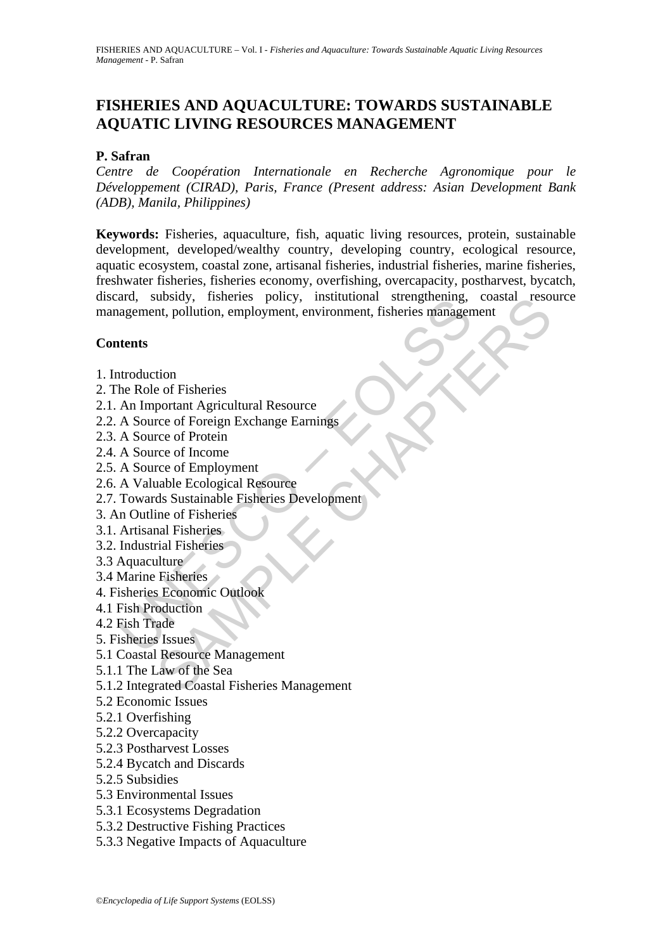# **FISHERIES AND AQUACULTURE: TOWARDS SUSTAINABLE AQUATIC LIVING RESOURCES MANAGEMENT**

#### **P. Safran**

*Centre de Coopération Internationale en Recherche Agronomique pour le Développement (CIRAD), Paris, France (Present address: Asian Development Bank (ADB), Manila, Philippines)*

and, subsidy, insiemes policy, institutional steinguiering,<br>agement, pollution, employment, environment, fisheries management, pollution, employment, environment, fisheries management<br>tents<br>An Important Agricultural Resour Unsider, Institutional strengthening, Coastal Feso<br>
then, pollution, employment, environment, fisheries management<br>
the of Fisheries<br>
portant Agricultural Resource<br>
rece of Foreign Exchange Earnings<br>
rece of Foreign Exchan **Keywords:** Fisheries, aquaculture, fish, aquatic living resources, protein, sustainable development, developed/wealthy country, developing country, ecological resource, aquatic ecosystem, coastal zone, artisanal fisheries, industrial fisheries, marine fisheries, freshwater fisheries, fisheries economy, overfishing, overcapacity, postharvest, bycatch, discard, subsidy, fisheries policy, institutional strengthening, coastal resource management, pollution, employment, environment, fisheries management

#### **Contents**

- 1. Introduction
- 2. The Role of Fisheries
- 2.1. An Important Agricultural Resource
- 2.2. A Source of Foreign Exchange Earnings
- 2.3. A Source of Protein
- 2.4. A Source of Income
- 2.5. A Source of Employment
- 2.6. A Valuable Ecological Resource
- 2.7. Towards Sustainable Fisheries Development
- 3. An Outline of Fisheries
- 3.1. Artisanal Fisheries
- 3.2. Industrial Fisheries
- 3.3 Aquaculture
- 3.4 Marine Fisheries
- 4. Fisheries Economic Outlook
- 4.1 Fish Production
- 4.2 Fish Trade
- 5. Fisheries Issues
- 5.1 Coastal Resource Management
- 5.1.1 The Law of the Sea
- 5.1.2 Integrated Coastal Fisheries Management
- 5.2 Economic Issues
- 5.2.1 Overfishing
- 5.2.2 Overcapacity
- 5.2.3 Postharvest Losses
- 5.2.4 Bycatch and Discards
- 5.2.5 Subsidies
- 5.3 Environmental Issues
- 5.3.1 Ecosystems Degradation
- 5.3.2 Destructive Fishing Practices
- 5.3.3 Negative Impacts of Aquaculture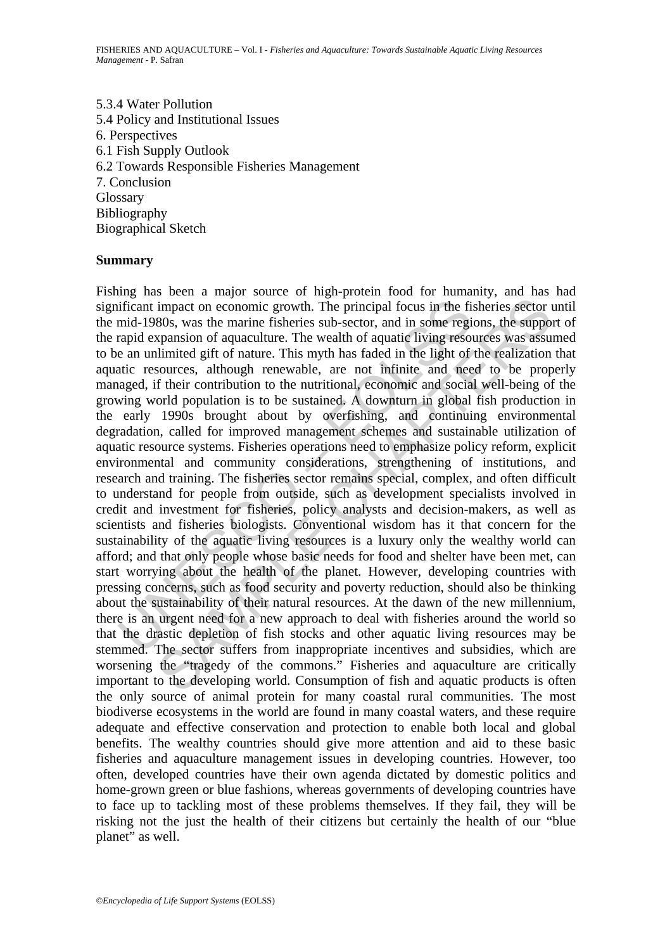5.3.4 Water Pollution 5.4 Policy and Institutional Issues 6. Perspectives 6.1 Fish Supply Outlook 6.2 Towards Responsible Fisheries Management 7. Conclusion Glossary Bibliography Biographical Sketch

#### **Summary**

ificant impact on economic growth. The principal focus in the fi<br>mid-1980s, was the marine fisheries sub-sector, and in some regi<br>rapid expansion of aquaculture. The wealth of aquatic living reso<br>e an unlimited gift of nat impact on economic growth. The principal focus in the fisheries sector 80s, was the marine fisheries sub-sector, and in some regions, the supportantion of aquaculture. The wealth of aquatic living resources was stessure li Fishing has been a major source of high-protein food for humanity, and has had significant impact on economic growth. The principal focus in the fisheries sector until the mid-1980s, was the marine fisheries sub-sector, and in some regions, the support of the rapid expansion of aquaculture. The wealth of aquatic living resources was assumed to be an unlimited gift of nature. This myth has faded in the light of the realization that aquatic resources, although renewable, are not infinite and need to be properly managed, if their contribution to the nutritional, economic and social well-being of the growing world population is to be sustained. A downturn in global fish production in the early 1990s brought about by overfishing, and continuing environmental degradation, called for improved management schemes and sustainable utilization of aquatic resource systems. Fisheries operations need to emphasize policy reform, explicit environmental and community considerations, strengthening of institutions, and research and training. The fisheries sector remains special, complex, and often difficult to understand for people from outside, such as development specialists involved in credit and investment for fisheries, policy analysts and decision-makers, as well as scientists and fisheries biologists. Conventional wisdom has it that concern for the sustainability of the aquatic living resources is a luxury only the wealthy world can afford; and that only people whose basic needs for food and shelter have been met, can start worrying about the health of the planet. However, developing countries with pressing concerns, such as food security and poverty reduction, should also be thinking about the sustainability of their natural resources. At the dawn of the new millennium, there is an urgent need for a new approach to deal with fisheries around the world so that the drastic depletion of fish stocks and other aquatic living resources may be stemmed. The sector suffers from inappropriate incentives and subsidies, which are worsening the "tragedy of the commons." Fisheries and aquaculture are critically important to the developing world. Consumption of fish and aquatic products is often the only source of animal protein for many coastal rural communities. The most biodiverse ecosystems in the world are found in many coastal waters, and these require adequate and effective conservation and protection to enable both local and global benefits. The wealthy countries should give more attention and aid to these basic fisheries and aquaculture management issues in developing countries. However, too often, developed countries have their own agenda dictated by domestic politics and home-grown green or blue fashions, whereas governments of developing countries have to face up to tackling most of these problems themselves. If they fail, they will be risking not the just the health of their citizens but certainly the health of our "blue planet" as well.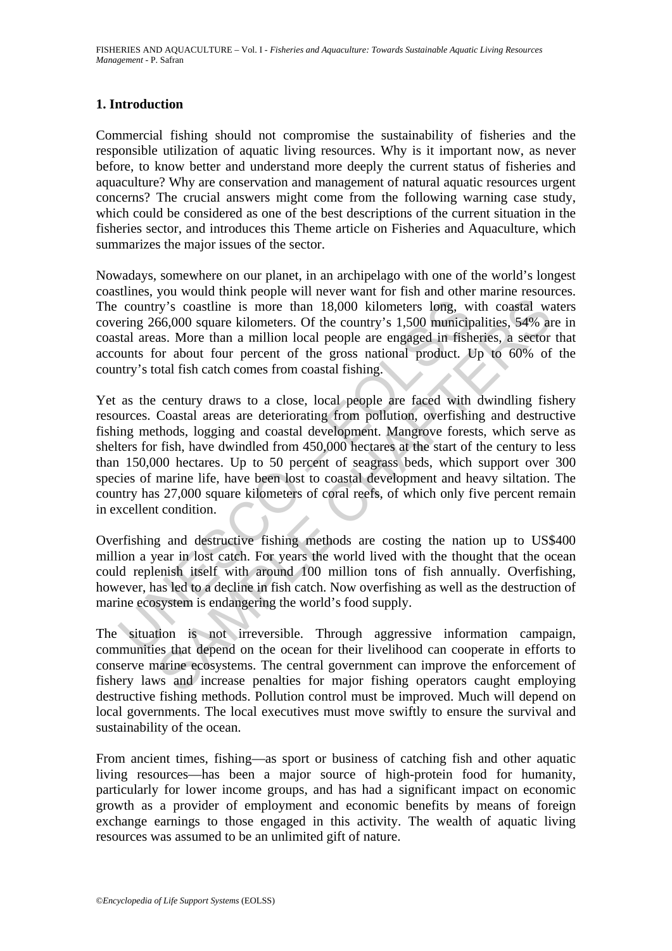#### **1. Introduction**

Commercial fishing should not compromise the sustainability of fisheries and the responsible utilization of aquatic living resources. Why is it important now, as never before, to know better and understand more deeply the current status of fisheries and aquaculture? Why are conservation and management of natural aquatic resources urgent concerns? The crucial answers might come from the following warning case study, which could be considered as one of the best descriptions of the current situation in the fisheries sector, and introduces this Theme article on Fisheries and Aquaculture, which summarizes the major issues of the sector.

Nowadays, somewhere on our planet, in an archipelago with one of the world's longest coastlines, you would think people will never want for fish and other marine resources. The country's coastline is more than 18,000 kilometers long, with coastal waters covering 266,000 square kilometers. Of the country's 1,500 municipalities, 54% are in coastal areas. More than a million local people are engaged in fisheries, a sector that accounts for about four percent of the gross national product. Up to 60% of the country's total fish catch comes from coastal fishing.

country's coastline is more than 18,000 kilometers long, w<br>ering 266,000 square kilometers. Of the country's 1,500 municip<br>stal areas. More than a million local people are engaged in fish<br>bunts for about four percent of th by's coastline is more than 18,000 kilometers long, with coastal we<br>66,000 square kilometers. Of the country's 1,500 municipalities, 54% and<br>66,000 square kilometers. Of the country's 1,500 municipalities, 54% and<br>or the t Yet as the century draws to a close, local people are faced with dwindling fishery resources. Coastal areas are deteriorating from pollution, overfishing and destructive fishing methods, logging and coastal development. Mangrove forests, which serve as shelters for fish, have dwindled from 450,000 hectares at the start of the century to less than 150,000 hectares. Up to 50 percent of seagrass beds, which support over 300 species of marine life, have been lost to coastal development and heavy siltation. The country has 27,000 square kilometers of coral reefs, of which only five percent remain in excellent condition.

Overfishing and destructive fishing methods are costing the nation up to US\$400 million a year in lost catch. For years the world lived with the thought that the ocean could replenish itself with around 100 million tons of fish annually. Overfishing, however, has led to a decline in fish catch. Now overfishing as well as the destruction of marine ecosystem is endangering the world's food supply.

The situation is not irreversible. Through aggressive information campaign, communities that depend on the ocean for their livelihood can cooperate in efforts to conserve marine ecosystems. The central government can improve the enforcement of fishery laws and increase penalties for major fishing operators caught employing destructive fishing methods. Pollution control must be improved. Much will depend on local governments. The local executives must move swiftly to ensure the survival and sustainability of the ocean.

From ancient times, fishing—as sport or business of catching fish and other aquatic living resources—has been a major source of high-protein food for humanity, particularly for lower income groups, and has had a significant impact on economic growth as a provider of employment and economic benefits by means of foreign exchange earnings to those engaged in this activity. The wealth of aquatic living resources was assumed to be an unlimited gift of nature.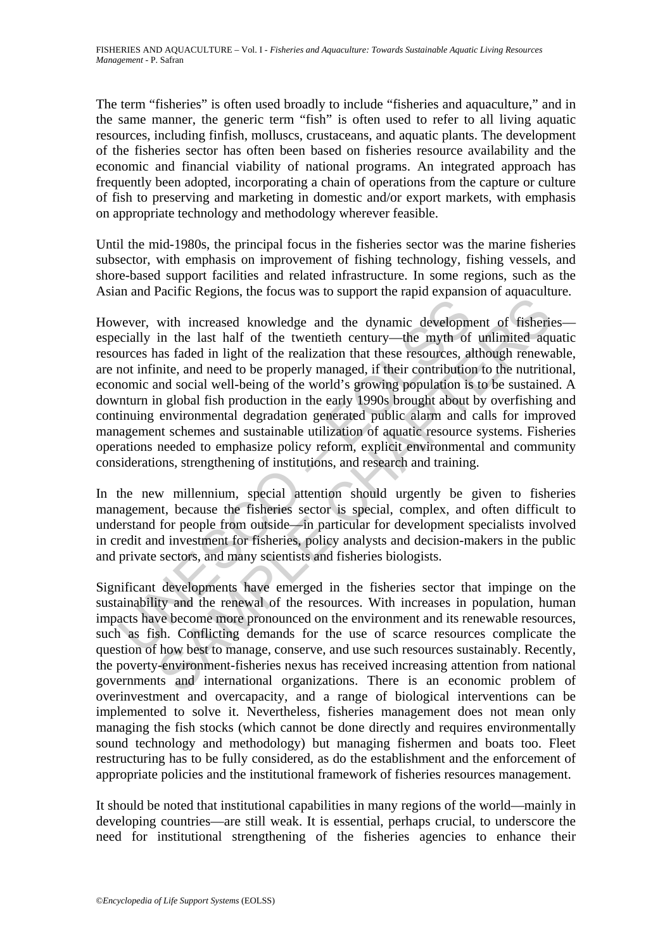The term "fisheries" is often used broadly to include "fisheries and aquaculture," and in the same manner, the generic term "fish" is often used to refer to all living aquatic resources, including finfish, molluscs, crustaceans, and aquatic plants. The development of the fisheries sector has often been based on fisheries resource availability and the economic and financial viability of national programs. An integrated approach has frequently been adopted, incorporating a chain of operations from the capture or culture of fish to preserving and marketing in domestic and/or export markets, with emphasis on appropriate technology and methodology wherever feasible.

Until the mid-1980s, the principal focus in the fisheries sector was the marine fisheries subsector, with emphasis on improvement of fishing technology, fishing vessels, and shore-based support facilities and related infrastructure. In some regions, such as the Asian and Pacific Regions, the focus was to support the rapid expansion of aquaculture.

wever, with increased knowledge and the dynamic developm<br>cicially in the last half of the twentieth century—the myth of<br>urres has faded in light of the realization that these resources, al<br>not infinite, and need to be prop The last half of the twentieth central as the production and increased in the last half of the two minics and the structure in the last hand for the meaning of unlimited aquisition and need to be properly managed, if their However, with increased knowledge and the dynamic development of fisheries especially in the last half of the twentieth century—the myth of unlimited aquatic resources has faded in light of the realization that these resources, although renewable, are not infinite, and need to be properly managed, if their contribution to the nutritional, economic and social well-being of the world's growing population is to be sustained. A downturn in global fish production in the early 1990s brought about by overfishing and continuing environmental degradation generated public alarm and calls for improved management schemes and sustainable utilization of aquatic resource systems. Fisheries operations needed to emphasize policy reform, explicit environmental and community considerations, strengthening of institutions, and research and training.

In the new millennium, special attention should urgently be given to fisheries management, because the fisheries sector is special, complex, and often difficult to understand for people from outside—in particular for development specialists involved in credit and investment for fisheries, policy analysts and decision-makers in the public and private sectors, and many scientists and fisheries biologists.

Significant developments have emerged in the fisheries sector that impinge on the sustainability and the renewal of the resources. With increases in population, human impacts have become more pronounced on the environment and its renewable resources, such as fish. Conflicting demands for the use of scarce resources complicate the question of how best to manage, conserve, and use such resources sustainably. Recently, the poverty-environment-fisheries nexus has received increasing attention from national governments and international organizations. There is an economic problem of overinvestment and overcapacity, and a range of biological interventions can be implemented to solve it. Nevertheless, fisheries management does not mean only managing the fish stocks (which cannot be done directly and requires environmentally sound technology and methodology) but managing fishermen and boats too. Fleet restructuring has to be fully considered, as do the establishment and the enforcement of appropriate policies and the institutional framework of fisheries resources management.

It should be noted that institutional capabilities in many regions of the world—mainly in developing countries—are still weak. It is essential, perhaps crucial, to underscore the need for institutional strengthening of the fisheries agencies to enhance their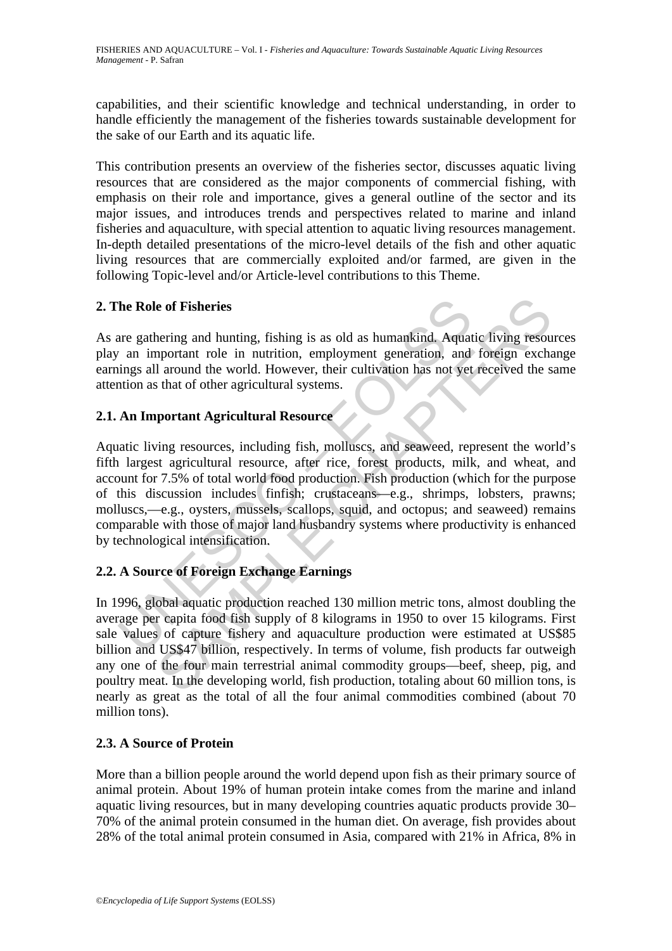capabilities, and their scientific knowledge and technical understanding, in order to handle efficiently the management of the fisheries towards sustainable development for the sake of our Earth and its aquatic life.

This contribution presents an overview of the fisheries sector, discusses aquatic living resources that are considered as the major components of commercial fishing, with emphasis on their role and importance, gives a general outline of the sector and its major issues, and introduces trends and perspectives related to marine and inland fisheries and aquaculture, with special attention to aquatic living resources management. In-depth detailed presentations of the micro-level details of the fish and other aquatic living resources that are commercially exploited and/or farmed, are given in the following Topic-level and/or Article-level contributions to this Theme.

# **2. The Role of Fisheries**

As are gathering and hunting, fishing is as old as humankind. Aquatic living resources play an important role in nutrition, employment generation, and foreign exchange earnings all around the world. However, their cultivation has not yet received the same attention as that of other agricultural systems.

#### **2.1. An Important Agricultural Resource**

The Role of Fisheries<br>
are gathering and hunting, fishing is as old as humankind. Aquat<br>
in an important role in nutrition, employment generation, and<br>
imgs all around the world. However, their cultivation has not yet<br>
tio **e of Fisheries**<br> **e of Fisheries**<br> **e** eff **Fisheries**<br> **e** eff **Exiteristic** and hunding, fishing is as old as humankind. Aquatic living resoure<br> **c** and a cound the world. However, their cultivation has not yet received Aquatic living resources, including fish, molluscs, and seaweed, represent the world's fifth largest agricultural resource, after rice, forest products, milk, and wheat, and account for 7.5% of total world food production. Fish production (which for the purpose of this discussion includes finfish; crustaceans—e.g., shrimps, lobsters, prawns; molluscs,—e.g., oysters, mussels, scallops, squid, and octopus; and seaweed) remains comparable with those of major land husbandry systems where productivity is enhanced by technological intensification.

# **2.2. A Source of Foreign Exchange Earnings**

In 1996, global aquatic production reached 130 million metric tons, almost doubling the average per capita food fish supply of 8 kilograms in 1950 to over 15 kilograms. First sale values of capture fishery and aquaculture production were estimated at US\$85 billion and US\$47 billion, respectively. In terms of volume, fish products far outweigh any one of the four main terrestrial animal commodity groups—beef, sheep, pig, and poultry meat. In the developing world, fish production, totaling about 60 million tons, is nearly as great as the total of all the four animal commodities combined (about 70 million tons).

#### **2.3. A Source of Protein**

More than a billion people around the world depend upon fish as their primary source of animal protein. About 19% of human protein intake comes from the marine and inland aquatic living resources, but in many developing countries aquatic products provide 30– 70% of the animal protein consumed in the human diet. On average, fish provides about 28% of the total animal protein consumed in Asia, compared with 21% in Africa, 8% in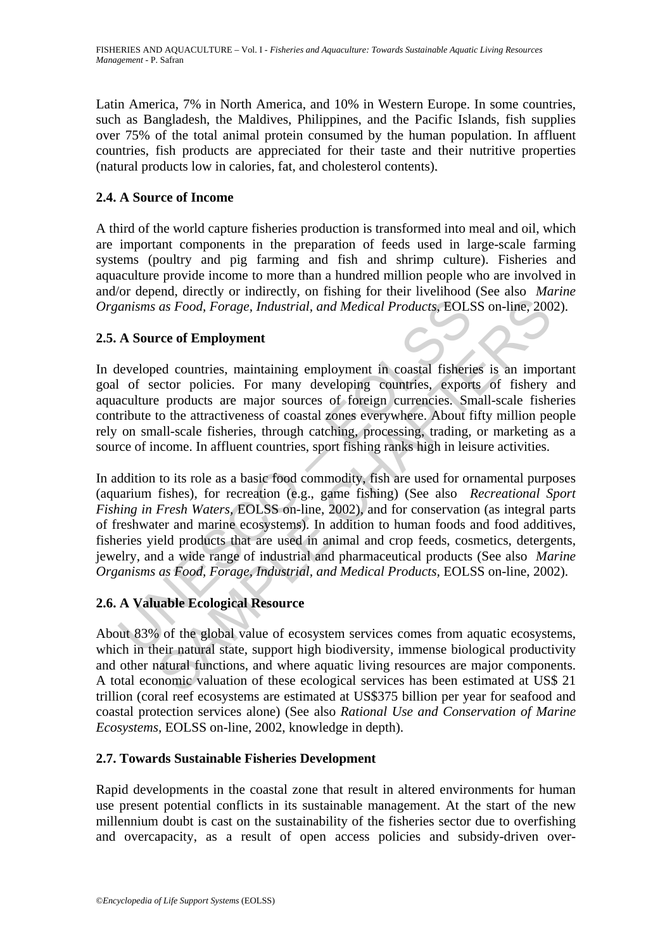Latin America, 7% in North America, and 10% in Western Europe. In some countries, such as Bangladesh, the Maldives, Philippines, and the Pacific Islands, fish supplies over 75% of the total animal protein consumed by the human population. In affluent countries, fish products are appreciated for their taste and their nutritive properties (natural products low in calories, fat, and cholesterol contents).

# **2.4. A Source of Income**

A third of the world capture fisheries production is transformed into meal and oil, which are important components in the preparation of feeds used in large-scale farming systems (poultry and pig farming and fish and shrimp culture). Fisheries and aquaculture provide income to more than a hundred million people who are involved in and/or depend, directly or indirectly, on fishing for their livelihood (See also *Marine Organisms as Food, Forage, Industrial, and Medical Products,* EOLSS on-line, 2002).

#### **2.5. A Source of Employment**

In developed countries, maintaining employment in coastal fisheries is an important goal of sector policies. For many developing countries, exports of fishery and aquaculture products are major sources of foreign currencies. Small-scale fisheries contribute to the attractiveness of coastal zones everywhere. About fifty million people rely on small-scale fisheries, through catching, processing, trading, or marketing as a source of income. In affluent countries, sport fishing ranks high in leisure activities.

anisms as Food, Forage, Industrial, and Medical Products, EOLS<br>
A Source of Employment<br>
leveloped countries, maintaining employment in coastal fisheric<br>
leveloped countries, maintaining employment in coastal fisheric<br>
leve as Food, Forage, Industrial, and Medical Products, EOLSS on-line, 200<br>as Food, Forage, Industrial, and Medical Products, EOLSS on-line, 200<br>ree of Employment<br>ed countries, maintaining employment in coastal fisheries is an In addition to its role as a basic food commodity, fish are used for ornamental purposes (aquarium fishes), for recreation (e.g., game fishing) (See also *Recreational Sport Fishing in Fresh Waters,* EOLSS on-line, 2002), and for conservation (as integral parts of freshwater and marine ecosystems). In addition to human foods and food additives, fisheries yield products that are used in animal and crop feeds, cosmetics, detergents, jewelry, and a wide range of industrial and pharmaceutical products (See also *Marine Organisms as Food, Forage, Industrial, and Medical Products,* EOLSS on-line, 2002).

# **2.6. A Valuable Ecological Resource**

About 83% of the global value of ecosystem services comes from aquatic ecosystems, which in their natural state, support high biodiversity, immense biological productivity and other natural functions, and where aquatic living resources are major components. A total economic valuation of these ecological services has been estimated at US\$ 21 trillion (coral reef ecosystems are estimated at US\$375 billion per year for seafood and coastal protection services alone) (See also *Rational Use and Conservation of Marine Ecosystems,* EOLSS on-line, 2002, knowledge in depth).

#### **2.7. Towards Sustainable Fisheries Development**

Rapid developments in the coastal zone that result in altered environments for human use present potential conflicts in its sustainable management. At the start of the new millennium doubt is cast on the sustainability of the fisheries sector due to overfishing and overcapacity, as a result of open access policies and subsidy-driven over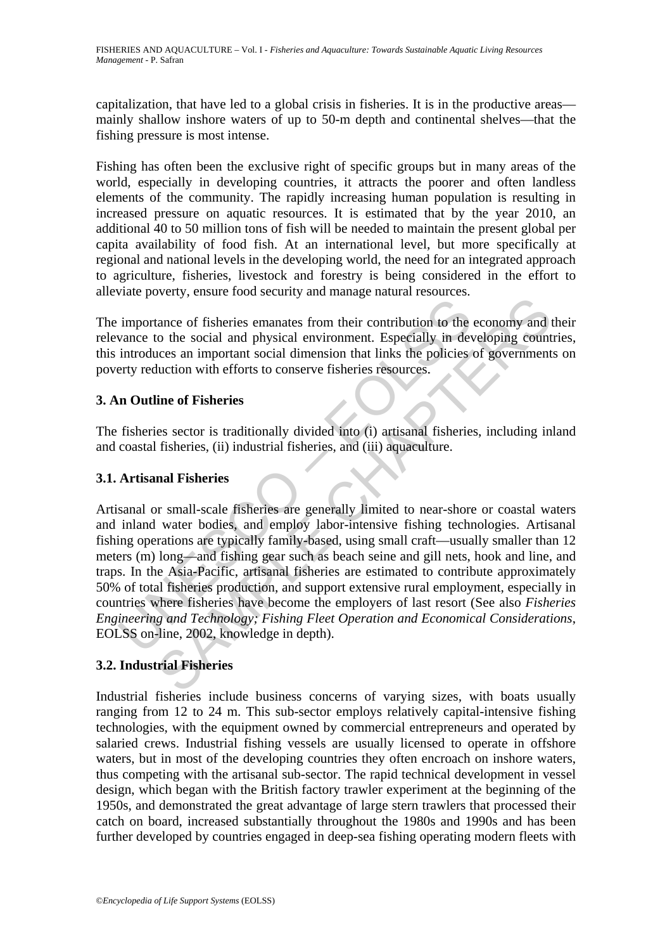capitalization, that have led to a global crisis in fisheries. It is in the productive areas mainly shallow inshore waters of up to 50-m depth and continental shelves—that the fishing pressure is most intense.

Fishing has often been the exclusive right of specific groups but in many areas of the world, especially in developing countries, it attracts the poorer and often landless elements of the community. The rapidly increasing human population is resulting in increased pressure on aquatic resources. It is estimated that by the year 2010, an additional 40 to 50 million tons of fish will be needed to maintain the present global per capita availability of food fish. At an international level, but more specifically at regional and national levels in the developing world, the need for an integrated approach to agriculture, fisheries, livestock and forestry is being considered in the effort to alleviate poverty, ensure food security and manage natural resources.

The importance of fisheries emanates from their contribution to the economy and their relevance to the social and physical environment. Especially in developing countries, this introduces an important social dimension that links the policies of governments on poverty reduction with efforts to conserve fisheries resources.

# **3. An Outline of Fisheries**

The fisheries sector is traditionally divided into (i) artisanal fisheries, including inland and coastal fisheries, (ii) industrial fisheries, and (iii) aquaculture.

# **3.1. Artisanal Fisheries**

importance of fisheries emanates from their contribution to the<br>introduces an important social and physical environment. Especially in de<br>introduces an important social dimension that links the policies<br>erty reduction with From the social and physical environment. Especially in developing count<br>tance of fisheries emanates from their contribution to the economy and<br>to the social and physical environment. Especially in developing count<br>duction Artisanal or small-scale fisheries are generally limited to near-shore or coastal waters and inland water bodies, and employ labor-intensive fishing technologies. Artisanal fishing operations are typically family-based, using small craft—usually smaller than 12 meters (m) long—and fishing gear such as beach seine and gill nets, hook and line, and traps. In the Asia-Pacific, artisanal fisheries are estimated to contribute approximately 50% of total fisheries production, and support extensive rural employment, especially in countries where fisheries have become the employers of last resort (See also *Fisheries Engineering and Technology; Fishing Fleet Operation and Economical Considerations*, EOLSS on-line, 2002, knowledge in depth).

# **3.2. Industrial Fisheries**

Industrial fisheries include business concerns of varying sizes, with boats usually ranging from 12 to 24 m. This sub-sector employs relatively capital-intensive fishing technologies, with the equipment owned by commercial entrepreneurs and operated by salaried crews. Industrial fishing vessels are usually licensed to operate in offshore waters, but in most of the developing countries they often encroach on inshore waters, thus competing with the artisanal sub-sector. The rapid technical development in vessel design, which began with the British factory trawler experiment at the beginning of the 1950s, and demonstrated the great advantage of large stern trawlers that processed their catch on board, increased substantially throughout the 1980s and 1990s and has been further developed by countries engaged in deep-sea fishing operating modern fleets with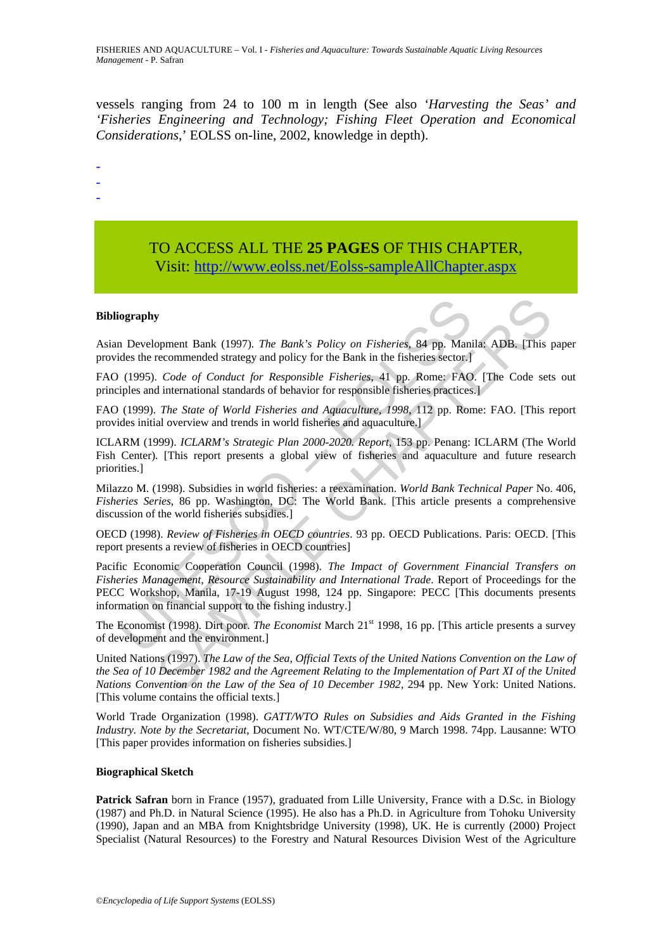vessels ranging from 24 to 100 m in length (See also *'Harvesting the Seas' and 'Fisheries Engineering and Technology; Fishing Fleet Operation and Economical Considerations*,' EOLSS on-line, 2002, knowledge in depth).

- -
- -
- TO ACCESS ALL THE **25 PAGES** OF THIS CHAPTER, Visit[: http://www.eolss.net/Eolss-sampleAllChapter.aspx](https://www.eolss.net/ebooklib/sc_cart.aspx?File=E5-05-00-00)

#### **Bibliography**

Asian Development Bank (1997). *The Bank's Policy on Fisheries*, 84 pp. Manila: ADB. [This paper provides the recommended strategy and policy for the Bank in the fisheries sector.]

FAO (1995). *Code of Conduct for Responsible Fisheries*, 41 pp. Rome: FAO. [The Code sets out principles and international standards of behavior for responsible fisheries practices.]

FAO (1999). *The State of World Fisheries and Aquaculture, 1998*, 112 pp. Rome: FAO. [This report provides initial overview and trends in world fisheries and aquaculture.]

ICLARM (1999). *ICLARM's Strategic Plan 2000-2020. Report*, 153 pp. Penang: ICLARM (The World Fish Center). [This report presents a global view of fisheries and aquaculture and future research priorities.]

Milazzo M. (1998). Subsidies in world fisheries: a reexamination. *World Bank Technical Paper* No. 406, *Fisheries Series*, 86 pp. Washington, DC: The World Bank. [This article presents a comprehensive discussion of the world fisheries subsidies.]

OECD (1998). *Review of Fisheries in OECD countries*. 93 pp. OECD Publications. Paris: OECD. [This report presents a review of fisheries in OECD countries]

iography<br>
In Development Bank (1997). The Bank's Policy on Fisheries, 84 pp. Manides the recommended strategy and policy for the Bank in the fisheries sector.]<br>
(1995). *Code of Conduct for Responsible Fisheries*, 41 pp. R **S**<br>
Somewheat Hank (1997). The Bank's Policy on Fisheries, 84 pp. Manila: ADB. [This increasemended strategy and policy for the Bank in the fisheries ector.]<br>
Code of Conduct for Responsible Fisheries, 41 pp. Rome: FAO. Pacific Economic Cooperation Council (1998). *The Impact of Government Financial Transfers on Fisheries Management, Resource Sustainability and International Trade*. Report of Proceedings for the PECC Workshop, Manila, 17-19 August 1998, 124 pp. Singapore: PECC [This documents presents information on financial support to the fishing industry.]

The Economist (1998). Dirt poor. *The Economist* March 21<sup>st</sup> 1998, 16 pp. [This article presents a survey of development and the environment.]

United Nations (1997). *The Law of the Sea, Official Texts of the United Nations Convention on the Law of the Sea of 10 December 1982 and the Agreement Relating to the Implementation of Part XI of the United Nations Convention on the Law of the Sea of 10 December 1982*, 294 pp. New York: United Nations. [This volume contains the official texts.]

World Trade Organization (1998). *GATT/WTO Rules on Subsidies and Aids Granted in the Fishing Industry. Note by the Secretariat*, Document No. WT/CTE/W/80, 9 March 1998. 74pp. Lausanne: WTO [This paper provides information on fisheries subsidies.]

#### **Biographical Sketch**

**Patrick Safran** born in France (1957), graduated from Lille University, France with a D.Sc. in Biology (1987) and Ph.D. in Natural Science (1995). He also has a Ph.D. in Agriculture from Tohoku University (1990), Japan and an MBA from Knightsbridge University (1998), UK. He is currently (2000) Project Specialist (Natural Resources) to the Forestry and Natural Resources Division West of the Agriculture